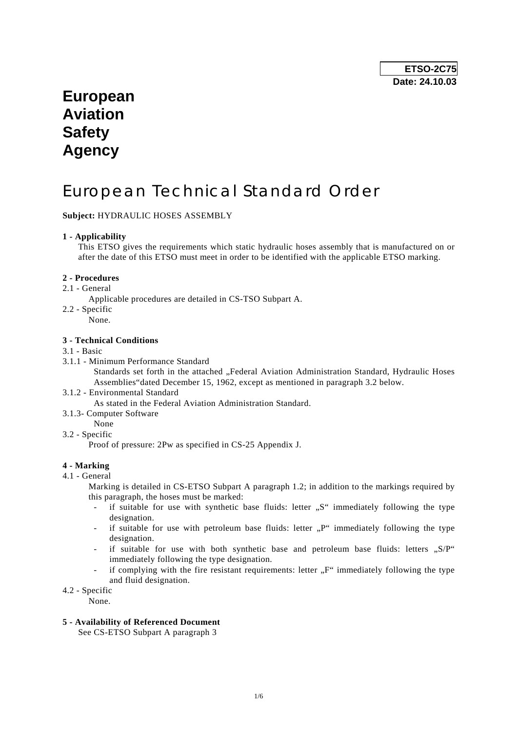## **European Aviation Safety Agency**

# European Technical Standard Order

## **Subject:** HYDRAULIC HOSES ASSEMBLY

## **1 - Applicability**

 This ETSO gives the requirements which static hydraulic hoses assembly that is manufactured on or after the date of this ETSO must meet in order to be identified with the applicable ETSO marking.

#### **2 - Procedures**

- 2.1 General
	- Applicable procedures are detailed in CS-TSO Subpart A.
- 2.2 Specific
	- None.

### **3 - Technical Conditions**

#### 3.1 - Basic

3.1.1 - Minimum Performance Standard

Standards set forth in the attached "Federal Aviation Administration Standard, Hydraulic Hoses Assemblies"dated December 15, 1962, except as mentioned in paragraph 3.2 below.

3.1.2 - Environmental Standard

As stated in the Federal Aviation Administration Standard.

- 3.1.3- Computer Software
	- None
- 3.2 Specific

Proof of pressure: 2Pw as specified in CS-25 Appendix J.

## **4 - Marking**

4.1 - General

 Marking is detailed in CS-ETSO Subpart A paragraph 1.2; in addition to the markings required by this paragraph, the hoses must be marked:

- if suitable for use with synthetic base fluids: letter "S" immediately following the type designation.
- if suitable for use with petroleum base fluids: letter  $\mathbb{R}^n$  immediately following the type designation.
- if suitable for use with both synthetic base and petroleum base fluids: letters  $, S/P^*$ immediately following the type designation.
- if complying with the fire resistant requirements: letter  $\mathcal{F}^{\mu}$  immediately following the type and fluid designation.
- 4.2 Specific

None.

#### **5 - Availability of Referenced Document**

See CS-ETSO Subpart A paragraph 3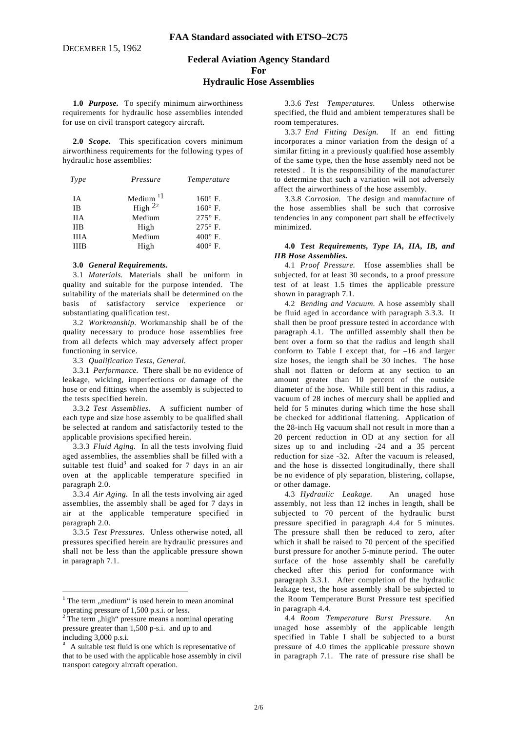## **Federal Aviation Agency Standard For Hydraulic Hose Assemblies**

 **1.0** *Purpose.* To specify minimum airworthiness requirements for hydraulic hose assemblies intended for use on civil transport category aircraft.

**2.0** *Scope.* This specification covers minimum airworthiness requirements for the following types of hydraulic hose assemblies:

| Type        | Pressure    | Temperature    |  |  |
|-------------|-------------|----------------|--|--|
| IА          | Medium $11$ | $160^\circ$ F. |  |  |
| ΙB          | High $2^2$  | $160^\circ$ F. |  |  |
| <b>IIA</b>  | Medium      | $275^\circ$ F. |  |  |
| <b>IIB</b>  | High        | $275^\circ$ F. |  |  |
| <b>IIIA</b> | Medium      | $400^\circ$ F. |  |  |
| <b>IIIR</b> | High        | $400^\circ$ F. |  |  |

#### **3.0** *General Requirements.*

 3.1 *Materials.* Materials shall be uniform in quality and suitable for the purpose intended. The suitability of the materials shall be determined on the basis of satisfactory service experience or substantiating qualification test.

 3.2 *Workmanship.* Workmanship shall be of the quality necessary to produce hose assemblies free from all defects which may adversely affect proper functioning in service.

3.3 *Qualification Tests, General.*

 3.3.1 *Performance.* There shall be no evidence of leakage, wicking, imperfections or damage of the hose or end fittings when the assembly is subjected to the tests specified herein.

 3.3.2 *Test Assemblies.* A sufficient number of each type and size hose assembly to be qualified shall be selected at random and satisfactorily tested to the applicable provisions specified herein.

 3.3.3 *Fluid Aging.* In all the tests involving fluid aged assemblies, the assemblies shall be filled with a suitable test fluid<sup>3</sup> and soaked for 7 days in an air oven at the applicable temperature specified in paragraph 2.0.

 3.3.4 *Air Aging.* In all the tests involving air aged assemblies, the assembly shall be aged for 7 days in air at the applicable temperature specified in paragraph 2.0.

 3.3.5 *Test Pressures.* Unless otherwise noted, all pressures specified herein are hydraulic pressures and shall not be less than the applicable pressure shown in paragraph 7.1.

 3.3.6 *Test Temperatures.* Unless otherwise specified, the fluid and ambient temperatures shall be room temperatures.

 3.3.7 *End Fitting Design.* If an end fitting incorporates a minor variation from the design of a similar fitting in a previously qualified hose assembly of the same type, then the hose assembly need not be retested . It is the responsibility of the manufacturer to determine that such a variation will not adversely affect the airworthiness of the hose assembly.

 3.3.8 *Corrosion.* The design and manufacture of the hose assemblies shall be such that corrosive tendencies in any component part shall be effectively minimized.

#### **4.0** *Test Requirements, Type IA, IIA, IB, and IIB Hose Assemblies.*

 4.1 *Proof Pressure.* Hose assemblies shall be subjected, for at least 30 seconds, to a proof pressure test of at least 1.5 times the applicable pressure shown in paragraph 7.1.

 4.2 *Bending and Vacuum.* A hose assembly shall be fluid aged in accordance with paragraph 3.3.3. It shall then be proof pressure tested in accordance with paragraph 4.1. The unfilled assembly shall then be bent over a form so that the radius and length shall conforrn to Table I except that, for –16 and larger size hoses, the length shall be 30 inches. The hose shall not flatten or deform at any section to an amount greater than 10 percent of the outside diameter of the hose. While still bent in this radius, a vacuum of 28 inches of mercury shall be applied and held for 5 minutes during which time the hose shall be checked for additional flattening. Application of the 28-inch Hg vacuum shall not result in more than a 20 percent reduction in OD at any section for all sizes up to and including -24 and a 35 percent reduction for size -32. After the vacuum is released, and the hose is dissected longitudinally, there shall be no evidence of ply separation, blistering, collapse, or other damage.

 4.3 *Hydraulic Leakage.* An unaged hose assembly, not less than 12 inches in length, shall be subjected to 70 percent of the hydraulic burst pressure specified in paragraph 4.4 for 5 minutes. The pressure shall then be reduced to zero, after which it shall be raised to 70 percent of the specified burst pressure for another 5-minute period. The outer surface of the hose assembly shall be carefully checked after this period for conformance with paragraph 3.3.1. After completion of the hydraulic leakage test, the hose assembly shall be subjected to the Room Temperature Burst Pressure test specified in paragraph 4.4.

4.4 *Room Temperature Burst Pressure.* unaged hose assembly of the applicable length specified in Table I shall be subjected to a burst pressure of 4.0 times the applicable pressure shown in paragraph 7.1. The rate of pressure rise shall be

 $1$  The term ,, medium " is used herein to mean anominal

operating pressure of 1,500 p.s.i. or less.<br><sup>2</sup> The term "high" pressure means a nominal operating pressure greater than 1,500 p-s.i. and up to and including 3,000 p.s.i.

<sup>3</sup> A suitable test fluid is one which is representative of that to be used with the applicable hose assembly in civil transport category aircraft operation.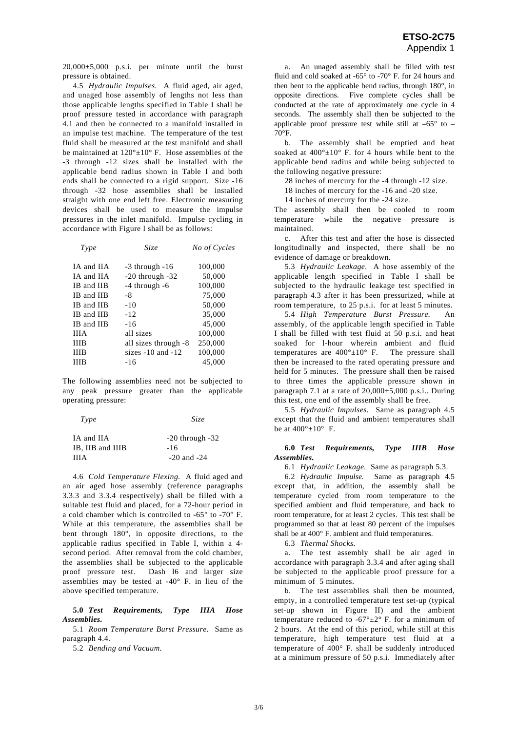$20,000\pm5,000$  p.s.i. per minute until the burst pressure is obtained.

 4.5 *Hydraulic Impulses.* A fluid aged, air aged, and unaged hose assembly of lengths not less than those applicable lengths specified in Table I shall be proof pressure tested in accordance with paragraph 4.1 and then be connected to a manifold installed in an impulse test machine. The temperature of the test fluid shall be measured at the test manifold and shall be maintained at  $120^{\circ} \pm 10^{\circ}$  F. Hose assemblies of the -3 through -12 sizes shall be installed with the applicable bend radius shown in Table I and both ends shall be connected to a rigid support. Size -16 through -32 hose assemblies shall be installed straight with one end left free. Electronic measuring devices shall be used to measure the impulse pressures in the inlet manifold. Impulse cycling in accordance with Figure I shall be as follows:

| Type |             | Size                  | No of Cycles |  |  |
|------|-------------|-----------------------|--------------|--|--|
|      | IA and IIA  | $-3$ through $-16$    | 100,000      |  |  |
|      | IA and IIA  | $-20$ through $-32$   | 50,000       |  |  |
|      | IB and IIB  | $-4$ through $-6$     | 100,000      |  |  |
|      | IB and IIB  | -8                    | 75,000       |  |  |
|      | IB and IIB  | $-10$                 | 50,000       |  |  |
|      | IB and IIB  | $-12$                 | 35,000       |  |  |
|      | IB and IIB  | $-16$                 | 45,000       |  |  |
|      | <b>IIIA</b> | all sizes             | 100,000      |  |  |
|      | <b>IIIB</b> | all sizes through -8  | 250,000      |  |  |
|      | ШB          | sizes $-10$ and $-12$ | 100,000      |  |  |
|      | ШB          | $-16$                 | 45,000       |  |  |
|      |             |                       |              |  |  |

The following assemblies need not be subjected to any peak pressure greater than the applicable operating pressure:

| Type                           | <i>Size</i>                |
|--------------------------------|----------------------------|
| IA and IIA<br>IB, IIB and IIIB | $-20$ through $-32$<br>-16 |
| HH Δ                           | $-20$ and $-24$            |

 4.6 *Cold Temperature Flexing.* A fluid aged and an air aged hose assembly (reference paragraphs 3.3.3 and 3.3.4 respectively) shall be filled with a suitable test fluid and placed, for a 72-hour period in a cold chamber which is controlled to -65° to -70° F. While at this temperature, the assemblies shall be bent through 180°, in opposite directions, to the applicable radius specified in Table I, within a 4 second period. After removal from the cold chamber, the assemblies shall be subjected to the applicable proof pressure test. Dash l6 and larger size assemblies may be tested at -40° F. in lieu of the above specified temperature.

#### **5.0** *Test Requirements, Type IIIA Hose Assemblies.*

 5.1 *Room Temperature Burst Pressure.* Same as paragraph 4.4.

5.2 *Bending and Vacuum.* 

 a. An unaged assembly shall be filled with test fluid and cold soaked at  $-65^\circ$  to  $-70^\circ$  F. for 24 hours and then bent to the applicable bend radius, through 180°, in opposite directions. Five complete cycles shall be conducted at the rate of approximately one cycle in 4 seconds. The assembly shall then be subjected to the applicable proof pressure test while still at  $-65^{\circ}$  to – 70°F.

 b. The assembly shall be emptied and heat soaked at  $400^{\circ} \pm 10^{\circ}$  F. for 4 hours while bent to the applicable bend radius and while being subjected to the following negative pressure:

28 inches of mercury for the -4 through -12 size.

18 inches of mercury for the -16 and -20 size.

14 inches of mercury for the -24 size.

The assembly shall then be cooled to room temperature while the negative pressure is maintained.

 c. After this test and after the hose is dissected longitudinally and inspected, there shall be no evidence of damage or breakdown.

 5.3 *Hydraulic Leakage.* A hose assembly of the applicable length specified in Table I shall be subjected to the hydraulic leakage test specified in paragraph 4.3 after it has been pressurized, while at room temperature, to 25 p.s.i. for at least 5 minutes.

 5.4 *High Temperature Burst Pressure.* An assembly, of the applicable length specified in Table I shall be filled with test fluid at 50 p.s.i. and heat soaked for l-hour wherein ambient and fluid temperatures are  $400^\circ \pm 10^\circ$  F. The pressure shall then be increased to the rated operating pressure and held for 5 minutes. The pressure shall then be raised to three times the applicable pressure shown in paragraph 7.1 at a rate of  $20,000\pm5,000$  p.s.i.. During this test, one end of the assembly shall be free.

 5.5 *Hydraulic Impulses.* Same as paragraph 4.5 except that the fluid and ambient temperatures shall be at  $400^{\circ} \pm 10^{\circ}$  F.

#### **6.0** *Test Requirements, Type IIIB Hose Assemblies.*

6.1 *Hydraulic Leakage.* Same as paragraph 5.3.

 6.2 *Hydraulic Impulse.* Same as paragraph 4.5 except that, in addition, the assembly shall be temperature cycled from room temperature to the specified ambient and fluid temperature, and back to room temperature, for at least 2 cycles. This test shall be programmed so that at least 80 percent of the impulses shall be at 400° F. ambient and fluid temperatures.

6.3 *Thermal Shocks.* 

 a. The test assembly shall be air aged in accordance with paragraph 3.3.4 and after aging shall be subjected to the applicable proof pressure for a minimum of 5 minutes.

 b. The test assemblies shall then be mounted, empty, in a controlled temperature test set-up (typical set-up shown in Figure II) and the ambient temperature reduced to  $-67^\circ \pm 2^\circ$  F. for a minimum of 2 hours. At the end of this period, while still at this temperature, high temperature test fluid at a temperature of 400° F. shall be suddenly introduced at a minimum pressure of 50 p.s.i. Immediately after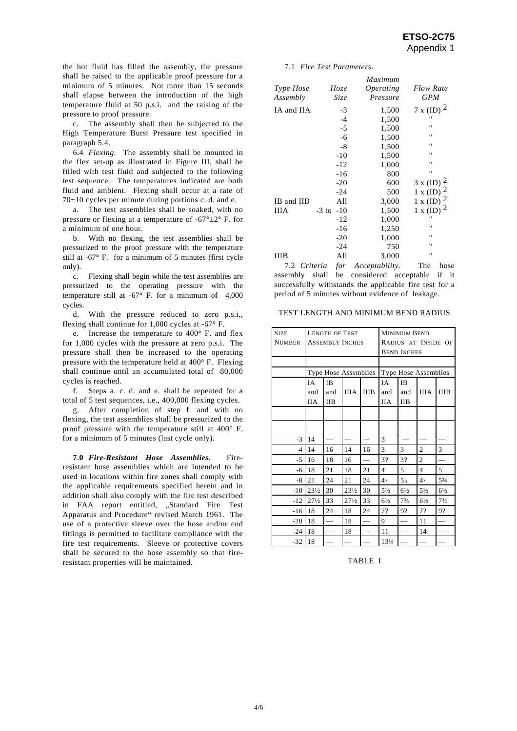the hot fluid has filled the assembly, the pressure shall be raised to the applicable proof pressure for a minimum of 5 minutes. Not more than 15 seconds shall elapse between the introduction of the high temperature fluid at 50 p.s.i. and the raising of the pressure to proof pressure.

 c. The assembly shall then be subjected to the High Temperature Burst Pressure test specified in paragraph 5.4.

 6.4 *Flexing.* The assembly shall be mounted in the flex set-up as illustrated in Figure III, shall be filled with test fluid and subjected to the following test sequence. The temperatures indicated are both fluid and ambient. Flexing shall occur at a rate of  $70\pm10$  cycles per minute during portions c. d. and e.

 a. The test assemblies shall be soaked, with no pressure or flexing at a temperature of  $-67^{\circ} \pm 2^{\circ}$  F. for a minimum of one hour.

 b. With no flexing, the test assemblies shall be pressurized to the proof pressure with the temperature still at -67° F. for a minimum of 5 minutes (first cycle only).

 c. Flexing shall begin while the test assemblies are pressurized to the operating pressure with the temperature still at -67° F. for a minimum of 4,000 cycles.

 d. With the pressure reduced to zero p.s.i., flexing shall continue for 1,000 cycles at -67° F.

 e. Increase the temperature to 400° F. and flex for 1,000 cycles with the pressure at zero p.s.i. The pressure shall then be increased to the operating pressure with the temperature held at 400° F. Flexing shall continue until an accumulated total of 80,000 cycles is reached.

 f. Steps a. c. d. and e. shall be repeated for a total of 5 test sequences, i.e., 400,000 flexing cycles.

 g. After completion of step f. and with no flexing, the test assemblies shall be pressurized to the proof pressure with the temperature still at 400° F. for a minimum of 5 minutes (last cycle only).

**7.0** *Fire-Resistant Hose Assemblies.* Fireresistant hose assemblies which are intended to be used in locations within fire zones shall comply with the applicable requirements specified herein and in addition shall also comply with the fire test described in FAA report entitled, "Standard Fire Test Apparatus and Procedure" revised March 1961. The use of a protective sleeve over the hose and/or end fittings is permitted to facilitate compliance with the fire test requirements. Sleeve or protective covers shall be secured to the hose assembly so that fireresistant properties will be maintained.

#### 7.1 *Fire Test Parameters.*

|            |               | Maximum                 |                         |
|------------|---------------|-------------------------|-------------------------|
| Type Hose  | Hoze          | <i><b>Operating</b></i> | <b>Flow Rate</b>        |
| Assembly   | Size          | Pressure                | <b>GPM</b>              |
| IA and IIA | $-3$          | 1,500                   | $7 \times (ID)^2$       |
|            | $-4$          | 1,500                   | $^{\prime}$             |
|            | $-5$          | 1,500                   | $^{\dagger}$            |
|            | $-6$          | 1,500                   | $^{\prime}$             |
|            | -8            | 1,500                   | $^{\dagger}$            |
|            | $-10$         | 1,500                   | "                       |
|            | $-12$         | 1,000                   | $^{\dagger}$            |
|            | $-16$         | 800                     | $^{\dagger}$            |
|            | $-20$         | 600                     | $3 \times (ID)^2$       |
|            | $-24$         | 500                     | $1 x (ID)$ <sup>2</sup> |
| IB and IIB | All           | 3,000                   | $1 x (ID)$ <sup>2</sup> |
| ШA         | $-3$ to $-10$ | 1,500                   | 1 x (ID) $^2$           |
|            | -12           | 1,000                   | $^{\dagger}$            |
|            | -16           | 1,250                   | "                       |
|            | $-20$         | 1,000                   | "                       |
|            | -24           | 750                     | "                       |
| шв         | All           | 3,000                   | $^{\dagger}$            |
|            |               |                         |                         |

 7.2 *Criteria for Acceptability.* The hose assembly shall be considered acceptable if it successfully withstands the applicable fire test for a period of 5 minutes without evidence of leakage.

#### TEST LENGTH AND MINIMUM BEND RADIUS

| <b>SIZE</b><br><b>NUMBER</b> | <b>LENGTH OF TEST</b><br><b>ASSEMBLY INCHES</b> |            |                 |                      | <b>MINIMUM BEND</b><br>RADIUS AT INSIDE OF<br><b>BEND INCHES</b> |                   |                |                |
|------------------------------|-------------------------------------------------|------------|-----------------|----------------------|------------------------------------------------------------------|-------------------|----------------|----------------|
|                              |                                                 |            |                 |                      |                                                                  |                   |                |                |
|                              | Type Hose Assemblies                            |            |                 | Type Hose Assemblies |                                                                  |                   |                |                |
|                              | IΑ                                              | <b>IB</b>  |                 |                      | IA                                                               | <b>IB</b>         |                |                |
|                              | and                                             | and        | <b>IIIA</b>     | <b>IIIB</b>          | and                                                              | and               | <b>IIIA</b>    | <b>IIIB</b>    |
|                              | <b>IIA</b>                                      | <b>IIB</b> |                 |                      | <b>IIA</b>                                                       | <b>IIB</b>        |                |                |
|                              |                                                 |            |                 |                      |                                                                  |                   |                |                |
|                              |                                                 |            |                 |                      |                                                                  |                   |                |                |
| $-3$                         | 14                                              |            |                 |                      | 3                                                                |                   |                |                |
| $-4$                         | 14                                              | 16         | 14              | 16                   | 3                                                                | 3                 | $\overline{c}$ | 3              |
| -5                           | 16                                              | 18         | 16              |                      | 3?                                                               | 3?                | $\overline{2}$ |                |
| -6                           | 18                                              | 21         | 18              | 21                   | 4                                                                | 5                 | $\overline{4}$ | 5              |
| -8                           | 21                                              | 24         | 21              | 24                   | 4,                                                               | $5_{\frac{3}{4}}$ | 4 <sub>2</sub> | $5\frac{3}{4}$ |
| $-10$                        | $23\frac{1}{2}$                                 | 30         | $23\frac{1}{2}$ | 30                   | $5\frac{1}{2}$                                                   | $6\frac{1}{2}$    | $5\frac{1}{2}$ | $6\frac{1}{2}$ |
| $-12$                        | $27\frac{1}{2}$                                 | 33         | $27\frac{1}{2}$ | 33                   | $6\frac{1}{2}$                                                   | 73/4              | $6\frac{1}{2}$ | $7\frac{3}{4}$ |
| $-16$                        | 18                                              | 24         | 18              | 24                   | 7?                                                               | 9?                | 7?             | 9?             |
| $-20$                        | 18                                              |            | 18              |                      | 9                                                                |                   | 11             |                |
| $-24$                        | 18                                              |            | 18              |                      | 11                                                               |                   | 14             |                |
| $-32$                        | 18                                              |            |                 |                      | 131/4                                                            |                   |                |                |

#### TABLE I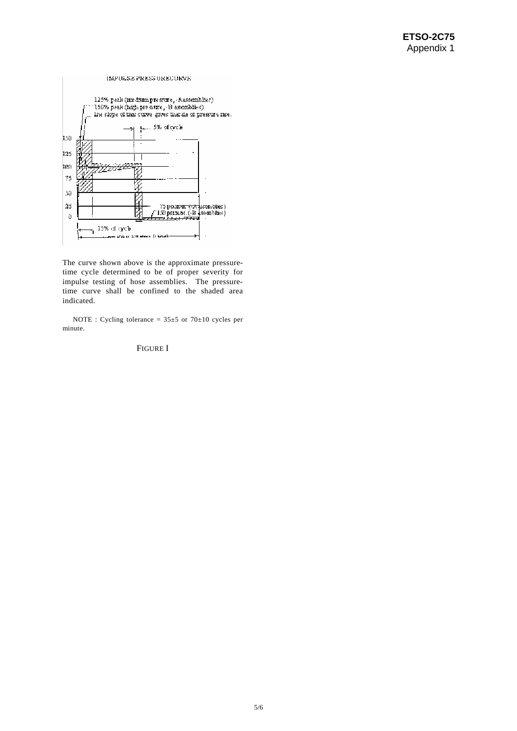#### ${\tt MAPULSE FRES SUREE COREE}$



The curve shown above is the approximate pressuretime cycle determined to be of proper severity for impulse testing of hose assemblies. The pressuretime curve shall be confined to the shaded area indicated.

NOTE : Cycling tolerance =  $35\pm5$  or  $70\pm10$  cycles per minute.

## FIGURE I